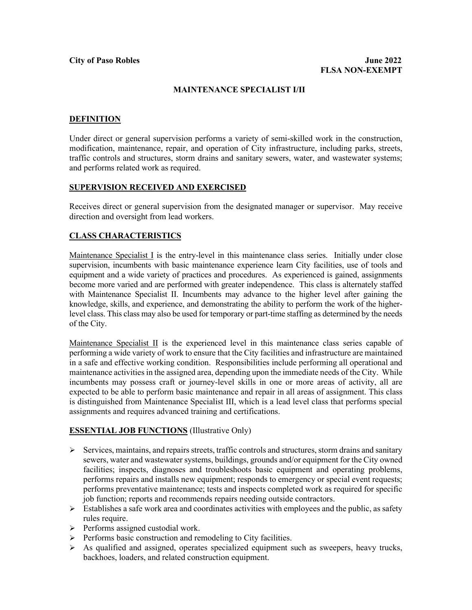### **MAINTENANCE SPECIALIST I/II**

### **DEFINITION**

Under direct or general supervision performs a variety of semi-skilled work in the construction, modification, maintenance, repair, and operation of City infrastructure, including parks, streets, traffic controls and structures, storm drains and sanitary sewers, water, and wastewater systems; and performs related work as required.

### **SUPERVISION RECEIVED AND EXERCISED**

Receives direct or general supervision from the designated manager or supervisor. May receive direction and oversight from lead workers.

# **CLASS CHARACTERISTICS**

Maintenance Specialist I is the entry-level in this maintenance class series. Initially under close supervision, incumbents with basic maintenance experience learn City facilities, use of tools and equipment and a wide variety of practices and procedures. As experienced is gained, assignments become more varied and are performed with greater independence. This class is alternately staffed with Maintenance Specialist II. Incumbents may advance to the higher level after gaining the knowledge, skills, and experience, and demonstrating the ability to perform the work of the higherlevel class. This class may also be used for temporary or part-time staffing as determined by the needs of the City.

Maintenance Specialist II is the experienced level in this maintenance class series capable of performing a wide variety of work to ensure that the City facilities and infrastructure are maintained in a safe and effective working condition. Responsibilities include performing all operational and maintenance activities in the assigned area, depending upon the immediate needs of the City. While incumbents may possess craft or journey-level skills in one or more areas of activity, all are expected to be able to perform basic maintenance and repair in all areas of assignment. This class is distinguished from Maintenance Specialist III, which is a lead level class that performs special assignments and requires advanced training and certifications.

# **ESSENTIAL JOB FUNCTIONS** (Illustrative Only)

- $\triangleright$  Services, maintains, and repairs streets, traffic controls and structures, storm drains and sanitary sewers, water and wastewater systems, buildings, grounds and/or equipment for the City owned facilities; inspects, diagnoses and troubleshoots basic equipment and operating problems, performs repairs and installs new equipment; responds to emergency or special event requests; performs preventative maintenance; tests and inspects completed work as required for specific job function; reports and recommends repairs needing outside contractors.
- $\triangleright$  Establishes a safe work area and coordinates activities with employees and the public, as safety rules require.
- $\triangleright$  Performs assigned custodial work.
- $\triangleright$  Performs basic construction and remodeling to City facilities.
- $\triangleright$  As qualified and assigned, operates specialized equipment such as sweepers, heavy trucks, backhoes, loaders, and related construction equipment.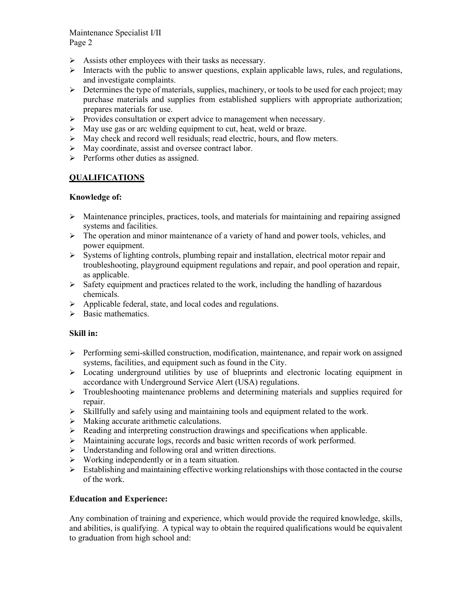Maintenance Specialist I/II Page 2

- $\triangleright$  Assists other employees with their tasks as necessary.
- $\triangleright$  Interacts with the public to answer questions, explain applicable laws, rules, and regulations, and investigate complaints.
- $\triangleright$  Determines the type of materials, supplies, machinery, or tools to be used for each project; may purchase materials and supplies from established suppliers with appropriate authorization; prepares materials for use.
- $\triangleright$  Provides consultation or expert advice to management when necessary.
- $\triangleright$  May use gas or arc welding equipment to cut, heat, weld or braze.
- $\triangleright$  May check and record well residuals; read electric, hours, and flow meters.
- $\triangleright$  May coordinate, assist and oversee contract labor.
- $\triangleright$  Performs other duties as assigned.

# **QUALIFICATIONS**

### **Knowledge of:**

- $\triangleright$  Maintenance principles, practices, tools, and materials for maintaining and repairing assigned systems and facilities.
- $\triangleright$  The operation and minor maintenance of a variety of hand and power tools, vehicles, and power equipment.
- $\triangleright$  Systems of lighting controls, plumbing repair and installation, electrical motor repair and troubleshooting, playground equipment regulations and repair, and pool operation and repair, as applicable.
- $\triangleright$  Safety equipment and practices related to the work, including the handling of hazardous chemicals.
- $\triangleright$  Applicable federal, state, and local codes and regulations.
- $\triangleright$  Basic mathematics.

#### **Skill in:**

- Performing semi-skilled construction, modification, maintenance, and repair work on assigned systems, facilities, and equipment such as found in the City.
- $\triangleright$  Locating underground utilities by use of blueprints and electronic locating equipment in accordance with Underground Service Alert (USA) regulations.
- $\triangleright$  Troubleshooting maintenance problems and determining materials and supplies required for repair.
- $\triangleright$  Skillfully and safely using and maintaining tools and equipment related to the work.
- $\triangleright$  Making accurate arithmetic calculations.
- $\triangleright$  Reading and interpreting construction drawings and specifications when applicable.
- Maintaining accurate logs, records and basic written records of work performed.
- $\triangleright$  Understanding and following oral and written directions.
- $\triangleright$  Working independently or in a team situation.
- $\triangleright$  Establishing and maintaining effective working relationships with those contacted in the course of the work.

#### **Education and Experience:**

Any combination of training and experience, which would provide the required knowledge, skills, and abilities, is qualifying. A typical way to obtain the required qualifications would be equivalent to graduation from high school and: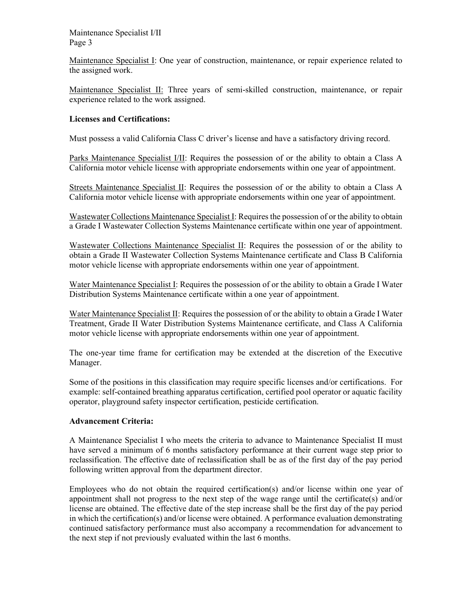Maintenance Specialist I/II Page 3

Maintenance Specialist I: One year of construction, maintenance, or repair experience related to the assigned work.

Maintenance Specialist II: Three years of semi-skilled construction, maintenance, or repair experience related to the work assigned.

# **Licenses and Certifications:**

Must possess a valid California Class C driver's license and have a satisfactory driving record.

Parks Maintenance Specialist I/II: Requires the possession of or the ability to obtain a Class A California motor vehicle license with appropriate endorsements within one year of appointment.

Streets Maintenance Specialist II: Requires the possession of or the ability to obtain a Class A California motor vehicle license with appropriate endorsements within one year of appointment.

Wastewater Collections Maintenance Specialist I: Requires the possession of or the ability to obtain a Grade I Wastewater Collection Systems Maintenance certificate within one year of appointment.

Wastewater Collections Maintenance Specialist II: Requires the possession of or the ability to obtain a Grade II Wastewater Collection Systems Maintenance certificate and Class B California motor vehicle license with appropriate endorsements within one year of appointment.

Water Maintenance Specialist I: Requires the possession of or the ability to obtain a Grade I Water Distribution Systems Maintenance certificate within a one year of appointment.

Water Maintenance Specialist II: Requires the possession of or the ability to obtain a Grade I Water Treatment, Grade II Water Distribution Systems Maintenance certificate, and Class A California motor vehicle license with appropriate endorsements within one year of appointment.

The one-year time frame for certification may be extended at the discretion of the Executive Manager.

Some of the positions in this classification may require specific licenses and/or certifications. For example: self-contained breathing apparatus certification, certified pool operator or aquatic facility operator, playground safety inspector certification, pesticide certification.

#### **Advancement Criteria:**

A Maintenance Specialist I who meets the criteria to advance to Maintenance Specialist II must have served a minimum of 6 months satisfactory performance at their current wage step prior to reclassification. The effective date of reclassification shall be as of the first day of the pay period following written approval from the department director.

Employees who do not obtain the required certification(s) and/or license within one year of appointment shall not progress to the next step of the wage range until the certificate(s) and/or license are obtained. The effective date of the step increase shall be the first day of the pay period in which the certification(s) and/or license were obtained. A performance evaluation demonstrating continued satisfactory performance must also accompany a recommendation for advancement to the next step if not previously evaluated within the last 6 months.